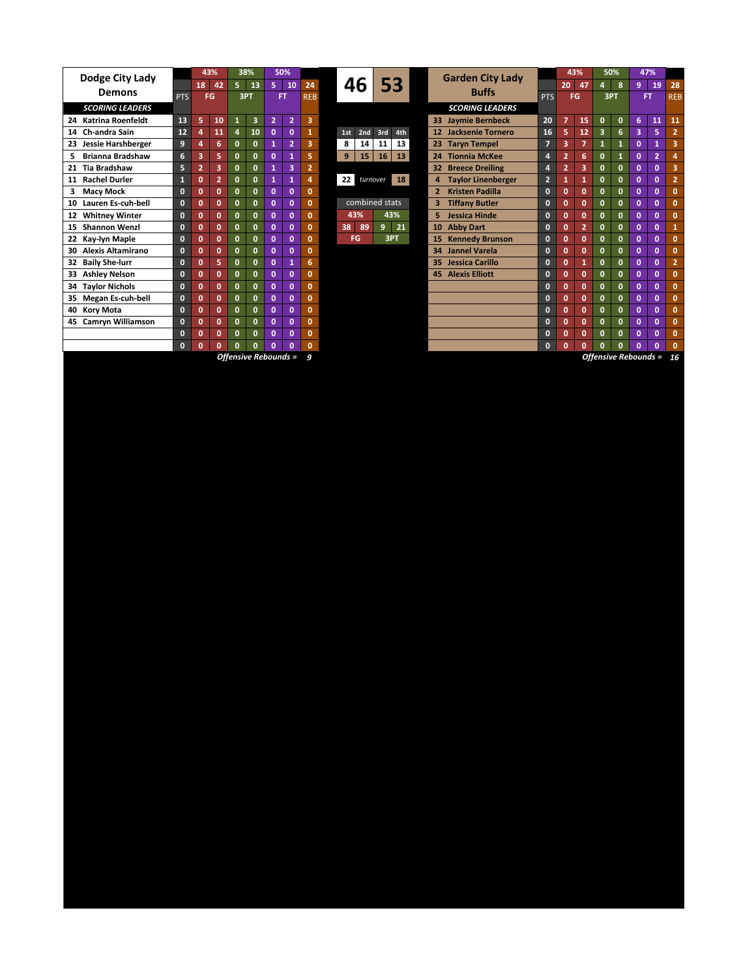| Dodge City Lady                 |              | 43%            |                | 38%          |                         | 50%            |                |                |                 |                |          |     |                       | <b>Garden City Lady</b> |                                           |                | 43%                     |                         | 50%          |              | 47%          |                |              |
|---------------------------------|--------------|----------------|----------------|--------------|-------------------------|----------------|----------------|----------------|-----------------|----------------|----------|-----|-----------------------|-------------------------|-------------------------------------------|----------------|-------------------------|-------------------------|--------------|--------------|--------------|----------------|--------------|
|                                 |              | 18             | 42             | 5.           | 13                      | 5              | 10             | 24             | 46              |                | 53       |     |                       |                         |                                           |                | 20                      | 47                      |              | 8            | 9            | 19             | 2i           |
| <b>Demons</b>                   |              | <b>PTS</b>     | FG             | 3PT          |                         | FT.            |                | <b>REB</b>     |                 |                |          |     |                       |                         | <b>Buffs</b>                              | <b>PTS</b>     |                         | <b>FG</b>               | 3PT          |              | <b>FT</b>    |                | <b>RE</b>    |
| <b>SCORING LEADERS</b>          |              |                |                |              |                         |                |                |                |                 |                |          |     |                       | <b>SCORING LEADERS</b>  |                                           |                |                         |                         |              |              |              |                |              |
| 24 Katrina Roenfeldt            | 13           | 5              | 10             | 1            | $\overline{\mathbf{3}}$ | $\overline{2}$ | $\overline{2}$ | 3              |                 |                |          |     |                       |                         | 33 Jaymie Bernbeck                        | 20             | $\overline{7}$          | 15                      | $\mathbf{0}$ | $\mathbf{0}$ | 6            | 11             | $\mathbf{1}$ |
| 14 Ch-andra Sain                | 12           |                | 11             | 4            | 10                      | $\mathbf{0}$   | $\Omega$       |                | 1st             | 2nd            | 3rd      | 4th |                       |                         | 12 Jacksenie Tornero                      | 16             | 5                       | 12                      | 3            | 6            | 3            | 5              |              |
| <b>Jessie Harshberger</b><br>23 | 9            |                | 6              | $\mathbf{0}$ | $\mathbf{0}$            | 1              | $\overline{2}$ | 3              | 8               | 14             | 11       | 13  |                       | 23                      | <b>Taryn Tempel</b>                       | 7.             | $\overline{\mathbf{3}}$ | $\overline{7}$          |              | 1            | $\mathbf{0}$ | $\mathbf{1}$   |              |
| <b>Brianna Bradshaw</b><br>5.   | 6            | $\overline{3}$ | 5              | $\mathbf{0}$ | $\mathbf{0}$            | $\mathbf{0}$   |                | 5              | 9               | 15             | 16       | 13  |                       |                         | 24 Tionnia McKee                          | 4              | $\overline{2}$          | 6                       | O            |              | $\mathbf{0}$ | $\overline{2}$ |              |
| 21 Tia Bradshaw                 | 5            | $\overline{2}$ | $\overline{3}$ | $\mathbf{0}$ | $\mathbf{0}$            | 1              | 3              | $\overline{2}$ |                 |                |          |     |                       |                         | <b>Breece Dreiling</b><br>32 <sub>2</sub> | 4              | $\overline{2}$          | $\overline{\mathbf{3}}$ | O            | O            | $\mathbf{0}$ | $\mathbf{0}$   |              |
| 11 Rachel Durler                | 1            | $\mathbf{0}$   | $\overline{2}$ | $\mathbf{0}$ | $\mathbf{0}$            | 1              | 1              | 4              | 22 <sub>1</sub> |                | turnover | 18  |                       | 4                       | <b>Taylor Linenberger</b>                 | 2 <sup>1</sup> | 1                       | 1                       | 0            | O            | $\mathbf{0}$ | $\mathbf{0}$   |              |
| <b>Macy Mock</b>                | $\mathbf{0}$ | Ō              | $\mathbf{0}$   | $\mathbf{0}$ | $\mathbf 0$             | $\mathbf{0}$   | $\mathbf{0}$   | $\mathbf{0}$   |                 |                |          |     |                       |                         | <b>Kristen Padilla</b>                    | $\mathbf{0}$   | $\mathbf{0}$            | $\mathbf 0$             | O            | O            | $\mathbf{0}$ | $\mathbf{0}$   |              |
| Lauren Es-cuh-bell<br>10        | $\mathbf{0}$ | $\Omega$       | $\mathbf{0}$   | $\mathbf{0}$ | $\mathbf{0}$            | $\mathbf{0}$   | $\Omega$       | $\mathbf{0}$   |                 | combined stats |          | 3   | <b>Tiffany Butler</b> | $\mathbf{0}$            | $\mathbf{0}$                              | $\mathbf 0$    | $\Omega$                | O                       | $\mathbf{0}$ | $\mathbf{0}$ |              |                |              |
| 12 Whitney Winter               | $\mathbf{0}$ | $\Omega$       | $\mathbf{0}$   | $\Omega$     | $\mathbf{0}$            | $\mathbf{0}$   | $\Omega$       | $\Omega$       |                 | 43%            |          | 43% |                       | 5.                      | Jessica Hinde                             | $\mathbf{0}$   | $\Omega$                | $\Omega$                | O            | 0            | $\mathbf{0}$ | $\mathbf{0}$   |              |
| <b>Shannon Wenzl</b><br>15      | $\Omega$     | $\Omega$       | $\mathbf{0}$   | $\mathbf{0}$ | $\mathbf{0}$            | $\mathbf{0}$   | $\Omega$       | $\mathbf{0}$   | 38              | 89             | 9        | 21  |                       | 10                      | <b>Abby Dart</b>                          | $\mathbf{0}$   | $\mathbf{0}$            | $\overline{2}$          | O            | 0            | $\mathbf{0}$ | $\mathbf{0}$   |              |
| 22 Kay-lyn Maple                | $\mathbf{0}$ | Ō              | $\mathbf{0}$   | $\mathbf{0}$ | $\mathbf{0}$            | $\mathbf{0}$   | $\Omega$       | $\mathbf{0}$   |                 | <b>FG</b>      |          | 3PT |                       | 15                      | <b>Kennedy Brunson</b>                    | $\mathbf{0}$   | $\mathbf{0}$            | $\mathbf 0$             | $\Omega$     | $\Omega$     | $\mathbf{0}$ | $\mathbf{0}$   |              |
| Alexis Altamirano<br>30         | $\mathbf{0}$ | $\mathbf{0}$   | $\mathbf{0}$   | $\mathbf{0}$ | $\mathbf{0}$            | $\mathbf{0}$   | $\mathbf{0}$   | $\mathbf{0}$   |                 |                |          |     |                       | 34                      | <b>Jannel Varela</b>                      | $\mathbf{0}$   | $\mathbf{0}$            | $\mathbf{0}$            | O            | o            | $\mathbf{0}$ | $\mathbf{0}$   |              |
| 32 Baily She-lurr               | $\mathbf{0}$ | $\mathbf{0}$   | 5              | $\mathbf{0}$ | $\mathbf{0}$            | $\mathbf{0}$   | 1              | 6              |                 |                |          |     |                       | 35                      | Jessica Carillo                           | $\mathbf{0}$   | $\mathbf{0}$            | 11                      | $\mathbf{0}$ | O.           | $\mathbf{0}$ | $\mathbf{0}$   |              |
| 33 Ashley Nelson                | $\mathbf{0}$ | Ō              | $\mathbf{0}$   | $\mathbf{0}$ | $\mathbf{0}$            | $\mathbf 0$    | $\mathbf{0}$   | 0              |                 |                |          |     |                       | 45                      | <b>Alexis Elliott</b>                     | $\mathbf{0}$   | $\mathbf{0}$            | $\mathbf{0}$            | $\mathbf{0}$ | $\mathbf{0}$ | $\mathbf{0}$ | $\mathbf{0}$   |              |
| <b>Taylor Nichols</b><br>34     | $\mathbf{0}$ | Ō              | $\mathbf{0}$   | $\mathbf{0}$ | $\mathbf{0}$            | $\mathbf{0}$   | $\mathbf{0}$   | $\mathbf{0}$   |                 |                |          |     |                       |                         |                                           | $\mathbf{0}$   | $\mathbf{0}$            | $\mathbf{0}$            | $\mathbf{0}$ | $\Omega$     | $\mathbf{0}$ | $\mathbf{0}$   |              |
| 35 Megan Es-cuh-bell            | $\mathbf{0}$ | Ō              | $\mathbf{0}$   | $\Omega$     | $\mathbf{0}$            | $\mathbf{0}$   | $\Omega$       | $\mathbf{0}$   |                 |                |          |     |                       |                         |                                           | $\mathbf{0}$   | $\mathbf{0}$            | $\mathbf{0}$            | $\Omega$     | $\Omega$     | $\mathbf{0}$ | $\mathbf{0}$   |              |
| 40 Kory Mota                    | $\mathbf{0}$ | $\Omega$       | $\mathbf{0}$   | $\mathbf{0}$ | $\mathbf{0}$            | 0              | $\mathbf{0}$   | $\mathbf{0}$   |                 |                |          |     |                       |                         |                                           | $\mathbf{0}$   | $\mathbf{0}$            | $\mathbf 0$             | 0            | O            | $\mathbf{0}$ | $\mathbf{0}$   |              |
| 45 Camryn Williamson            | $\mathbf{0}$ | Ō              | $\mathbf{0}$   | $\mathbf{0}$ | $\mathbf{0}$            | $\mathbf{0}$   | $\Omega$       | $\mathbf{0}$   |                 |                |          |     |                       |                         |                                           | $\mathbf{0}$   | $\mathbf{0}$            | $\mathbf{0}$            | 0            | $\Omega$     | $\mathbf{0}$ | $\mathbf{0}$   |              |
|                                 | $\mathbf{0}$ | Ō              | $\mathbf{0}$   | $\mathbf{0}$ | $\mathbf{0}$            | $\mathbf{0}$   | $\mathbf{0}$   | $\mathbf{0}$   |                 |                |          |     |                       |                         |                                           | $\mathbf{0}$   | $\mathbf{0}$            | $\mathbf 0$             | O            | O            | $\mathbf{0}$ | $\mathbf{0}$   |              |
|                                 | $\bf{0}$     | Ō              | $\mathbf{0}$   | $\mathbf{0}$ | 0                       | 0              | 0              | $\mathbf{0}$   |                 |                |          |     |                       |                         |                                           | $\mathbf{0}$   | $\mathbf{0}$            | $\mathbf{0}$            | O            |              | O            | $\mathbf{0}$   |              |

*Offensive Rebounds = Offensive Rebounds =*

| Dodge City Lady        |              |                | 43%            |              | 38%          |                | 50%            |              |  |                 |          |                |     |                        |                |                           |                | 43%            |                | 50%          |              | 47%             |                |                         |  |
|------------------------|--------------|----------------|----------------|--------------|--------------|----------------|----------------|--------------|--|-----------------|----------|----------------|-----|------------------------|----------------|---------------------------|----------------|----------------|----------------|--------------|--------------|-----------------|----------------|-------------------------|--|
|                        |              | 18             | 42             |              | $5 - 13$     | $5 -$          | 10             | 24           |  | 46              |          |                | 53  |                        |                | <b>Garden City Lady</b>   |                | 20             | 47             | 4            | 8            | 9               | 19             | 28                      |  |
| Demons                 | <b>PTS</b>   |                | FG             |              | 3PT          |                | <b>FT</b>      |              |  |                 |          |                |     | <b>Buffs</b>           |                | <b>PTS</b>                | <b>FG</b>      |                | 3PT            |              | <b>FT</b>    |                 | <b>REB</b>     |                         |  |
| <b>SCORING LEADERS</b> |              |                |                |              |              |                |                |              |  |                 |          |                |     | <b>SCORING LEADERS</b> |                |                           |                |                |                |              |              |                 |                |                         |  |
| 24 Katrina Roenfeldt   | 13           | 5              | 10             |              | 3            | $\overline{2}$ | $\overline{2}$ | 3            |  |                 |          |                |     |                        |                | 33 Jaymie Bernbeck        | 20             |                | 15             | $\mathbf{0}$ | $\mathbf{0}$ | $6\phantom{1}6$ | 11             | 11                      |  |
| 14 Ch-andra Sain       | 12           | 4              | 11             | 4            | 10           | $\mathbf{0}$   | $\mathbf{0}$   | $\mathbf{1}$ |  | 1st             | 2nd      | 3rd            | 4th |                        |                | 12 Jacksenie Tornero      | 16             | 5              | 12             | 3            | 6            | $\overline{3}$  | 5              | $\overline{2}$          |  |
| 23 Jessie Harshberger  | 9            | 4              | 6              | $\mathbf{0}$ | $\mathbf{0}$ | $\mathbf{1}$   | $\overline{2}$ | 3            |  | 8               | 14       | 11             | 13  |                        |                | 23 Taryn Tempel           | $\overline{7}$ | 3              | $\overline{7}$ |              | $\mathbf{1}$ | $\mathbf{0}$    |                | $\overline{\mathbf{3}}$ |  |
| Brianna Bradshaw<br>5. | 6            | 3              | 5              | $\mathbf{0}$ | $\Omega$     | $\mathbf{0}$   | 1              | 5            |  | $\overline{9}$  | 15       | <b>16</b>      | 13  |                        |                | 24 Tionnia McKee          | 4              | $\overline{2}$ | 6              | $\mathbf{0}$ | 1            | $\mathbf{0}$    | $\overline{2}$ |                         |  |
| 21 Tia Bradshaw        | Б.           | $\overline{2}$ | 3              | $\mathbf{0}$ | $\Omega$     | $\mathbf{1}$   | 3              | 12           |  |                 |          |                |     |                        |                | <b>32 Breece Dreiling</b> | 4              | $\overline{2}$ | 3              | $\mathbf{0}$ | $\mathbf{0}$ | $\mathbf{0}$    | $\mathbf{0}$   | 3                       |  |
| 11 Rachel Durler       |              | $\mathbf{0}$   | $\overline{2}$ | $\mathbf{0}$ | $\mathbf{0}$ | 1              | 1              | 4            |  | 22 <sub>1</sub> | turnover |                | 18  |                        | $\overline{4}$ | <b>Taylor Linenberger</b> | $\overline{2}$ |                |                | $\mathbf{0}$ | $\mathbf{0}$ | $\mathbf{0}$    | $\mathbf{0}$   | $\overline{2}$          |  |
| <b>Macy Mock</b><br>3  | $\Omega$     | $\mathbf{0}$   | $\mathbf{0}$   | $\mathbf{0}$ | $\Omega$     | $\mathbf{0}$   | $\mathbf{0}$   | $\mathbf{0}$ |  |                 |          |                |     |                        |                | <b>Kristen Padilla</b>    | $\mathbf{0}$   | $\Omega$       | $\Omega$       | $\mathbf{0}$ | $\mathbf{0}$ | $\mathbf{0}$    | $\mathbf{0}$   | $\mathbf{0}$            |  |
| 10 Lauren Es-cuh-bell  | $\mathbf{0}$ | $\mathbf{0}$   | $\mathbf{0}$   | $\mathbf{0}$ | $\Omega$     | $\mathbf{0}$   | $\mathbf{0}$   | $\mathbf{0}$ |  |                 |          | combined stats |     |                        | 3 <sup>1</sup> | <b>Tiffany Butler</b>     | $\mathbf{0}$   | 0              | $\mathbf{0}$   | $\mathbf{0}$ | $\mathbf{0}$ | $\mathbf{0}$    | $\mathbf{0}$   | $\mathbf{0}$            |  |
| 12 Whitney Winter      | $\mathbf{0}$ | $\mathbf{0}$   | $\mathbf{0}$   | $\mathbf{0}$ | $\Omega$     | $\mathbf{0}$   | $\mathbf{0}$   | $\mathbf{0}$ |  | 43%             |          |                | 43% |                        | 5.             | Jessica Hinde             | $\mathbf{0}$   | 0              | $\mathbf{0}$   | $\mathbf{0}$ | $\mathbf{0}$ | $\mathbf 0$     | $\mathbf{0}$   | $\mathbf{0}$            |  |
| 15 Shannon Wenzl       | $\mathbf{0}$ | 0              | $\mathbf{0}$   | $\mathbf{0}$ | $\mathbf{0}$ | $\mathbf{0}$   | $\mathbf{0}$   | $\mathbf{0}$ |  | 38              | 89       | 9              | 21  |                        |                | 10 Abby Dart              | $\mathbf{0}$   | 0              | $\overline{2}$ | $\mathbf{0}$ | $\mathbf{0}$ | $\mathbf{0}$    | $\mathbf{0}$   | $\mathbf{1}$            |  |
| 22 Kay-lyn Maple       | $\mathbf{0}$ | $\mathbf{0}$   | $\mathbf{0}$   | $\mathbf{0}$ | $\Omega$     | $\mathbf{0}$   | $\mathbf{0}$   | $\mathbf{0}$ |  | FG              |          |                | 3PT |                        |                | 15 Kennedy Brunson        | $\bf{0}$       | 0              | $\mathbf{0}$   | $\mathbf{0}$ | $\mathbf{0}$ | $\mathbf 0$     | $\mathbf{0}$   | $\mathbf{0}$            |  |
| 30 Alexis Altamirano   | $\mathbf{0}$ | $\mathbf{0}$   | $\mathbf 0$    | $\mathbf{0}$ | $\mathbf{0}$ | $\mathbf{0}$   | $\mathbf{0}$   | $\mathbf{0}$ |  |                 |          |                |     |                        |                | 34 Jannel Varela          | $\mathbf{0}$   | 0              | $\Omega$       | $\mathbf{0}$ | $\mathbf{0}$ | $\mathbf 0$     | $\mathbf{0}$   | $\mathbf{0}$            |  |
| 32 Baily She-lurr      | $\Omega$     | $\mathbf{0}$   | 5              | $\mathbf{0}$ | $\Omega$     | $\mathbf{0}$   | 1              | 6            |  |                 |          |                |     |                        |                | 35 Jessica Carillo        | $\mathbf{0}$   | $\Omega$       | 1              | $\mathbf{0}$ | $\Omega$     | $\mathbf 0$     | $\Omega$       | $\overline{2}$          |  |
| 33 Ashley Nelson       | $\Omega$     | $\mathbf{0}$   | $\mathbf{0}$   | $\mathbf{0}$ | $\Omega$     | $\mathbf{0}$   | $\mathbf{0}$   | $\mathbf{0}$ |  |                 |          |                |     |                        |                | <b>45 Alexis Elliott</b>  | $\mathbf{0}$   | 0              | $\mathbf{0}$   | $\mathbf{0}$ | $\mathbf{0}$ | $\mathbf 0$     | $\mathbf{0}$   | $\mathbf{0}$            |  |
| 34 Taylor Nichols      | $\mathbf{0}$ | 0              | $\mathbf{0}$   | $\mathbf{0}$ | $\Omega$     | $\mathbf{0}$   | $\mathbf{0}$   | $\bf{0}$     |  |                 |          |                |     |                        |                |                           | $\mathbf{0}$   | 0              | 0              | $\mathbf{0}$ | $\mathbf{0}$ | $\mathbf 0$     | $\mathbf{0}$   | $\mathbf{0}$            |  |
| 35 Megan Es-cuh-bell   | $\mathbf{0}$ | $\mathbf{0}$   | $\mathbf{0}$   | $\mathbf{0}$ | $\Omega$     | $\mathbf{0}$   | $\mathbf{0}$   | $\mathbf{0}$ |  |                 |          |                |     |                        |                |                           | $\bf{0}$       | O              | o              | $\mathbf{0}$ | $\mathbf{0}$ | $\mathbf{0}$    | $\mathbf{0}$   | $\mathbf{0}$            |  |
| 40 Kory Mota           | $\mathbf{0}$ | 0              | $\mathbf{0}$   | $\mathbf{0}$ | $\mathbf{0}$ | $\mathbf{0}$   | $\mathbf{0}$   | $\mathbf{0}$ |  |                 |          |                |     |                        |                |                           | $\mathbf{0}$   | 0              | $\mathbf{0}$   | $\mathbf{0}$ | $\mathbf{0}$ | $\mathbf{0}$    | $\mathbf{0}$   | $\mathbf{0}$            |  |
| 45 Camryn Williamson   | $\Omega$     | $\mathbf{0}$   | $\mathbf{0}$   | $\mathbf{0}$ | $\Omega$     | $\mathbf{0}$   | $\mathbf{0}$   | $\mathbf{0}$ |  |                 |          |                |     |                        |                |                           | $\mathbf{0}$   | 0              | $\mathbf{0}$   | $\mathbf{0}$ | $\mathbf{0}$ | $\mathbf{0}$    | $\mathbf{0}$   | $\mathbf{0}$            |  |
|                        | $\mathbf{0}$ | $\mathbf{0}$   | $\mathbf{0}$   | $\mathbf{0}$ | o            | $\mathbf{0}$   | $\mathbf{0}$   | $\bf{0}$     |  |                 |          |                |     |                        |                |                           | $\mathbf{0}$   | 0              | $\mathbf{0}$   | $\mathbf{0}$ | $\mathbf{0}$ | $\mathbf{0}$    | $\mathbf{0}$   | $\mathbf{0}$            |  |
|                        | $\sqrt{2}$   | $\sim$         | $\sim$         | $\mathbf{r}$ | $\sim$       | $\sim$         | $\sqrt{2}$     | $\sqrt{2}$   |  |                 |          |                |     |                        |                |                           | $\mathbf{a}$   | $\mathbf{r}$   | $\sim$         | $\mathbf{r}$ | $\sim$       | $\overline{ }$  | $\mathbf{r}$   | $\sim$                  |  |

*16*